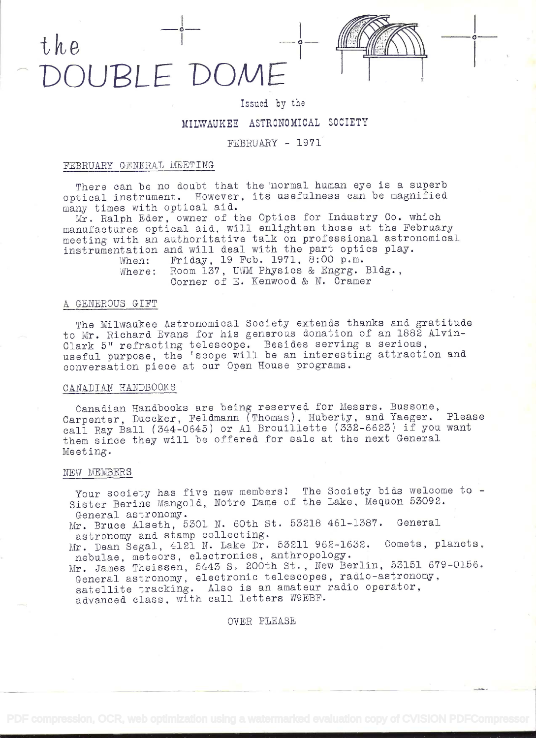# the  $\frac{-1}{1}$   $-\frac{1}{1}$   $\frac{1}{1}$ ILIBLE DOME



### Issued by the

## MILWAUKEE ASTRONOMICAL SOCIETY

#### FEBRUARY - 1971

#### FEBRUARY GENERAL MEETING

There can be no doubt that the normal human eye is a superb optical instrument. However, its usefulness can be magnified. many times with optical aid..

Mr. Ralph Eder, owner of the Optics for Industry Co. which manufactures optical aid, will enlighten those at the February meeting with an authoritative talk on professional astronomical instrumentation and will deal with the part optics play.<br>When: Friday, 19 Feb. 1971, 8:00 p.m.

Friday, 19 Feb. 1971, 8:00 p.m. Where: Room 137, UWM Physics & Engrg. Bldg.,<br>Corner of E. Kenwood & N. Cramer

#### <sup>A</sup>GENEROUS GIFT

The Milwaukee Astronomical Society extends thanks and gratitude to Mr. Richard Evans for his generous donation of an 1882 Alvin-Clark 5" refracting telescope. Besides serving a serious, useful purpose, the 'scope will be an interesting attraction and conversation piece at our Open House programs.

#### CANADIAN HANDBOOKS

Canadian Handbooks are being reserved for Messrs. Bassone, Carpenter, Duecker, Feldmann (Thomas), Huberty, and Yaeger. Please call Ray Ball (344-0645) or Al Brouillette (332-6623) if you want them since they will be offered for sale at the next General Meeting.

#### NEW MEMBERS

Your society has five new members! The Society bids welcome to - Sister Berine Mangold, Notre Dame of the Lake, Mequon 53092. General astronomy.

Mr. Bruce Alseth, 5301 N. 60th St. 53218 461-1387. General astronomy and stamp collecting.

Mr. Dean Segal, 4121 N. Lake Dr. 53211 962-1632. Comets, planets, nebalae, meteors, electronics, anthropology.

Mr. James Theissen, 5443 S. 200th St., New Berlin, 53151 679-0156. General astronomy, electronic telescopes, radio-astronomy, satellite tracking. Also is an amateur radio operator, advanced class, with call letters W9EBF.

OVER PLEASE